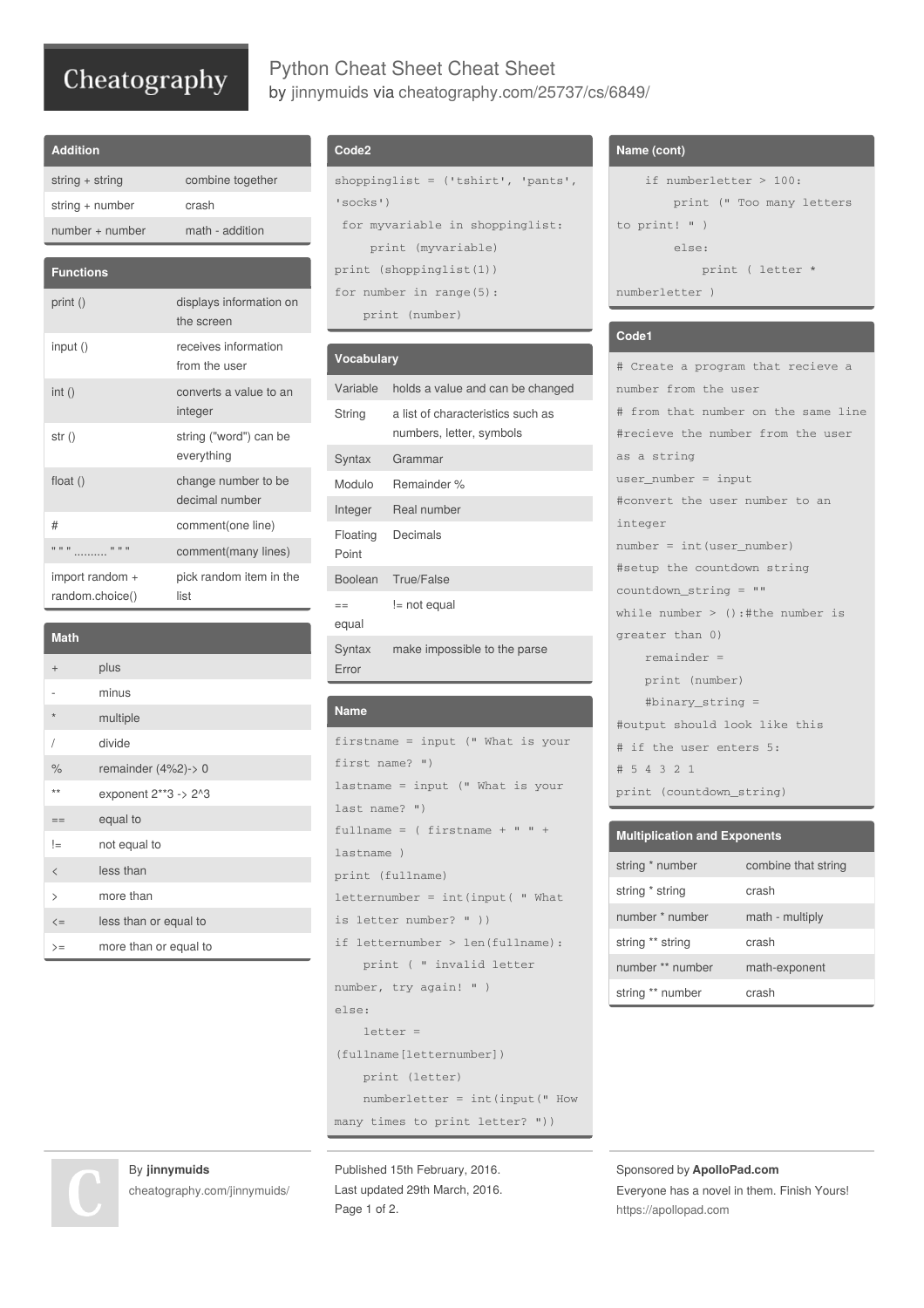## Cheatography

## Python Cheat Sheet Cheat Sheet by [jinnymuids](http://www.cheatography.com/jinnymuids/) via [cheatography.com/25737/cs/6849/](http://www.cheatography.com/jinnymuids/cheat-sheets/python-cheat-sheet)

| <b>Addition</b>   |                                       |
|-------------------|---------------------------------------|
| string + string   | combine together                      |
| string + number   | crash                                 |
| $number + number$ | math - addition                       |
|                   |                                       |
| <b>Functions</b>  |                                       |
| print ()          | displays information on<br>the screen |
| input()           | receives information<br>from the user |
| int()             | converts a value to an<br>integer     |
| str()             | string ("word") can be<br>everything  |
| float $()$        | change number to be<br>decimal number |
| #                 | comment(one line)                     |
|                   |                                       |

| 11 11 11                           |          | comment(many lines)             |
|------------------------------------|----------|---------------------------------|
| import random +<br>random.choice() |          | pick random item in the<br>list |
|                                    |          |                                 |
| <b>Math</b>                        |          |                                 |
| $+$                                | plus     |                                 |
|                                    | minus    |                                 |
| $\star$                            | multiple |                                 |
|                                    | divide   |                                 |

% remainder (4%2)-> 0 \*\* exponent  $2**3 \rightarrow 2*3$ 

 $\leq$  less than or equal to >= more than or equal to

By **jinnymuids**

[cheatography.com/jinnymuids/](http://www.cheatography.com/jinnymuids/)

 $==$  equal to != not equal to < less than > more than

## **Code2**

```
shoppinglist = ('tshirt', 'pants',
'socks')
 for myvariable in shoppinglist:
    print (myvariable)
print (shoppinglist(1))
for number in range(5):
    print (number)
```

| <b>Vocabulary</b> |                                                               |
|-------------------|---------------------------------------------------------------|
| Variable          | holds a value and can be changed                              |
| String            | a list of characteristics such as<br>numbers, letter, symbols |
| Syntax            | Grammar                                                       |
| Modulo            | Remainder %                                                   |
| Integer           | Real number                                                   |
| Floating<br>Point | Decimals                                                      |
| Boolean           | True/False                                                    |
| $=$<br>equal      | != not equal                                                  |
| Syntax<br>Error   | make impossible to the parse                                  |

#### **Name**

```
firstname = input (" What is your
first name? ")
lastname = input (" What is your
last name? ")
fullname = ( firstname + " " +lastname )
print (fullname)
letternumber = int(input( " What
is letter number? " ))
if letternumber > len(fullname):
   print ( " invalid letter
number, try again! " )
else:
   letter =
(fullname[letternumber])
    print (letter)
    numberletter = int(input(" How
many times to print letter? "))
```

```
Published 15th February, 2016.
Last updated 29th March, 2016.
Page 1 of 2.
```
## **Name (cont)**

```
if numberletter > 100:
        print (" Too many letters
to print! " )
       else:
            print ( letter *
numberletter )
```
#### **Code1**

```
# Create a program that recieve a
number from the user
# from that number on the same line
#recieve the number from the user
as a string
user_number = input
#convert the user number to an
integer
number = int(user_number)
#setup the countdown string
countdown_string = ""
while number > ():#the number is
greater than 0)
   remainder =
    print (number)
    #binary_string =
#output should look like this
# if the user enters 5:
# 5 4 3 2 1
print (countdown_string)
```

| <b>Multiplication and Exponents</b> |                     |  |
|-------------------------------------|---------------------|--|
| string * number                     | combine that string |  |
| string * string                     | crash               |  |
| number * number                     | math - multiply     |  |
| string ** string                    | crash               |  |
| number ** number                    | math-exponent       |  |
| string ** number                    | crash               |  |

Sponsored by **ApolloPad.com** Everyone has a novel in them. Finish Yours! <https://apollopad.com>